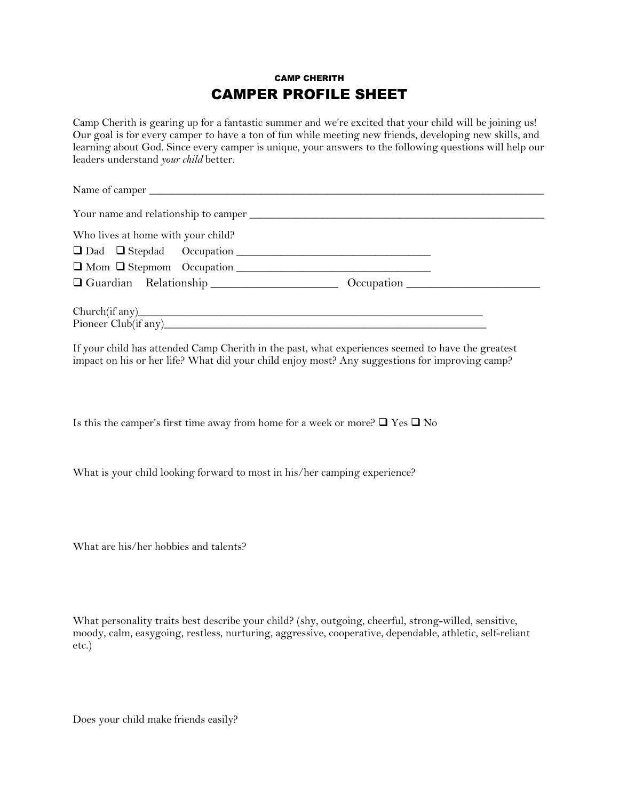## CAMP CHERITH CAMPER PROFILE SHEET

Camp Cherith is gearing up for a fantastic summer and we're excited that your child will be joining us! Our goal is for every camper to have a ton of fun while meeting new friends, developing new skills, and learning about God. Since every camper is unique, your answers to the following questions will help our leaders understand *your child* better.

| Who lives at home with your child?             |  |
|------------------------------------------------|--|
|                                                |  |
|                                                |  |
| Occupation Relationship Cocupation Constraints |  |
|                                                |  |

If your child has attended Camp Cherith in the past, what experiences seemed to have the greatest impact on his or her life? What did your child enjoy most? Any suggestions for improving camp?

Is this the camper's first time away from home for a week or more?  $\Box$  Yes  $\Box$  No

What is your child looking forward to most in his/her camping experience?

What are his/her hobbies and talents?

What personality traits best describe your child? (shy, outgoing, cheerful, strong-willed, sensitive, moody, calm, easygoing, restless, nurturing, aggressive, cooperative, dependable, athletic, self-reliant etc.)

Does your child make friends easily?